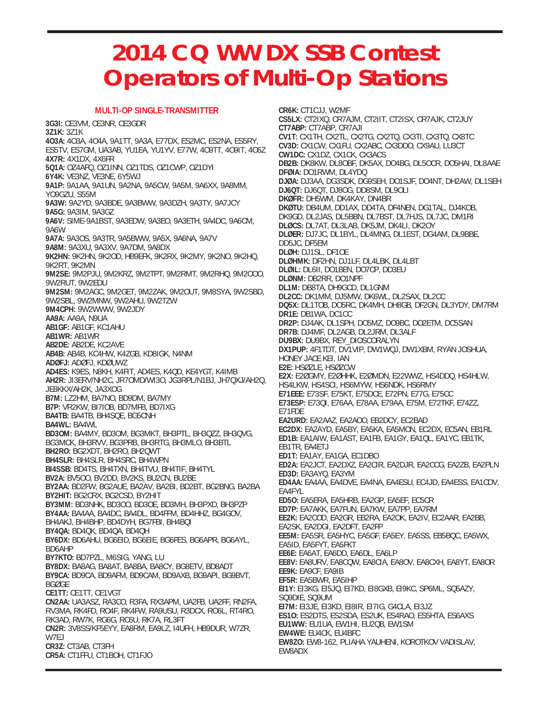## **2014 CQ WW DX SSB Contest Operators of Multi-Op Stations**

## **MULTI-OP SINGLE-TRANSMITTER**

**3G3I:** CE3VM, CE3NR, CE3GDR **3Z1K:** 3Z1K **4O3A:** 4O3A, 4O4A, 9A1TT, 9A3A, E77DX, ES2MC, ES2NA, ES5RY, ES5TV, ES7GM, UA3AB, YU1EA, YU1YV, E77W, 4O9TT, 4O9IT, 4O6Z **4X7R:** 4X1DX, 4X6FR **5Q1A:** OZ4AFQ, OZ1INN, OZ1TDS, OZ1CWP, OZ1DYI **6Y4K:** VE3NZ, VE3NE, 6Y5WJ **9A1P:** 9A1AA, 9A1UN, 9A2NA, 9A5CW, 9A5M, 9A6XX, 9A8MM, YO9GZU, S55M **9A3W:** 9A2YD, 9A3BDE, 9A3BWW, 9A3DZH, 9A3TY, 9A7JCY **9A5G:** 9A3IM, 9A3GZ **9A6V:** SIME-9A1BST, 9A3EDW, 9A3EO, 9A3ETH, 9A4DC, 9A6CM, 9A6W **9A7A:** 9A3OS, 9A3TR, 9A5BWW, 9A5X, 9A6NA, 9A7V **9A8M:** 9A3XU, 9A3XV, 9A7DM, 9A8DX **9K2HN:** 9K2HN, 9K2OD, HB9EFK, 9K2RX, 9K2MY, 9K2NO, 9K2HQ, 9K2RT, 9K2MN **9M2SE:** 9M2PJU, 9M2KRZ, 9M2TPT, 9M2RMT, 9M2RHQ, 9M2OOO, 9W2RUT, 9W2EDU **9M2SM:** 9M2AGC, 9M2GET, 9M2ZAK, 9M2OUT, 9M8SYA, 9W2SBD, 9W2SBL, 9W2MNW, 9W2AHU, 9W2TZW **9M4CPH:** 9W2WWW, 9W2JDY **AA9A:** AA9A, N9UA **AB1GF:** AB1GF, KC1AHU **AB1WR:** AB1WR **AB2DE:** AB2DE, KC2AVE **AB4B:** AB4B, KC4HW, K4ZGB, KD8IGK, N4NM **ADØFJ:** ADØFJ, KDØUWZ **AD4ES:** K9ES, N8KH, K4FIT, AD4ES, K4QD, KE4YGT, K4IMB **AH2R:** JI3ERV/NH2C, JR7OMD/WI3O, JG3RPL/N1BJ, JH7QXJ/AH2Q, JE8KKX/AH2K, JA3XOG **B7M:** LZ2HM, BA7NO, BD9DM, BA7MY **B7P:** VR2KW, BI7IOB, BD7MFB, BD7IXG **BA4TB:** BA4TB, BH4SQE, BG5CNH **BA4WL:** BA4WL **BD3OM:** BA4MY, BD3OM, BG3MKT, BH3PTL, BH3QZZ, BH3QVG, BG3MCK, BH3RVV, BG3PRB, BH3RTG, BH3MLO, BH3BTL **BH2RO:** BG2XDT, BH2RO, BH2QWT **BH4SLR:** BH4SLR, BH4SRC, BH4WPN **BI4SSB:** BD4TS, BH4TXN, BH4TVU, BH4TIF, BH4TYL **BV2A:** BV5OO, BV2DD, BV2KS, BU2CN, BU2BE **BY2AA:** BD2FW, BG2AUE, BA2AV, BA2BI, BD2BT, BG2BNG, BA2BA **BY2HIT:** BG2CRX, BG2CSD, BY2HIT **BY3MM:** BD3NHK, BD3OO, BD3OE, BD3MH, BH3PXD, BH3PZP **BY4AA:** BA4AA, BA4DC, BA4DL, BD4FFM, BD4HHZ, BG4GOV, BH4AKJ, BH4BHP, BD4DYH, BG7FBI, BH4BQI **BY4QA:** BD4QK, BD4QA, BD4QH **BY6DX:** BD6AHU, BG6EID, BG6EIE, BG6FES, BG6APR, BG6AYL, BD6AHP **BY7KTO:** BD7PZL, M6SIG, YANG, LU **BY8DX:** BA8AG, BA8AT, BA8BA, BA8CY, BG8ETV, BD8ADT **BY9CA:** BD9CA, BD9AFM, BD9CAM, BD9AXB, BG9API, BG9BVT, BGØGE **CE1TT:** CE1TT, CE1VGT **CN2AA:** UA3ASZ, RA3CO, R3FA, RX3APM, UA2FB, UA2FF, RN2FA, RV3MA, RK4FD, RO4F, RK4FW, RA9USU, R3DCX, RO6L, RT4RO, RK3AD, RW7K, RG6G, RC6U, RK7A, RL3FT **CN2R:** 3V8SS/KF5EYY, EA8RM, EA9LZ, I4UFH, HB9DUR, W7ZR, W7EJ **CR3Z:** CT3AB, CT3FH **CR5A:** CT1FFU, CT1BOH, CT1FJO

**CR6K:** CT1CJJ, W2MF **CS5LX:** CT2IXQ, CR7AJM, CT2IIT, CT2ISX, CR7AJK, CT2JUY **CT7ABP:** CT7ABP, CR7AJI **CV1T:** CX1TH, CX2TL, CX2TG, CX2TQ, CX3TI, CX3TQ, CX8TC **CV3D:** CX1CW, CX1FU, CX2ABC, CX3DDO, CX9AU, LU3CT **CW1DC:** CX1DZ, CX1CK, CX3ACS **DB2B:** DK8KW, DL8OBF, DK5AX, DO4BG, DL5OCR, DO5HAI, DL8AAE **DFØIA:** DO1RWM, DL4YDQ **DJØA:** DJ3AA, DG3SDK, DG9SEH, DO1SJF, DO4NT, DH2AW, DL1SEH **DJ6QT:** DJ6QT, DJ8OG, DD8SM, DL9OLI **DKØFR:** DH5WM, DK4KAY, DN4BR **DKØTU:** DB4UM, DD1AX, DD4TA, DF4NEN, DG1TAL, DJ4KOB, DK9GD, DL2JAS, DL5BBN, DL7BST, DL7HJS, DL7JC, DM1RI **DLØCS:** DL7AT, DL3LAB, DK5JM, DK4LI, DK2OY **DLØER:** DJ7JC, DL1BYL, DL4MNG, DL1EST, DG4AM, DL9BBE, DD5JC, DF5EM **DLØH:** DJ1SL, DF1OE **DLØHMK:** DF2HN, DJ1LF, DL4LBK, DL4LBT **DLØIL:** DL6II, DO1BEN, DO7CP, DD3EU **DLØNM:** DB2RR, DO1NPF **DL1M:** DB8TA, DH9GCD, DL1GNM **DL2CC:** DK1MM, DJ5MW, DK6WL, DL2SAX, DL2CC **DQ5X:** DL1TOB, DO5RC, DK4MH, DH8GB, DF2GN, DL3YDY, DM7RM **DR1E:** DB1WA, DC1CC **DR2P:** DJ4AK, DL1SPH, DO5MZ, DO9BC, DO2ETM, DC5SAN **DR7B:** DJ4MF, DL2AGB, DL2JRM, DL3ALF **DU9BX:** DU9BX, REY\_DIOSCORALYN **DX1PUP:** 4F1TDT, DV1VIP, DW1WQJ, DW1XBM, RYAN JOSHUA, HONEY JACE KEI, IAN **E2E:** HSØZLE, HSØZCW **E2X:** E2ØGMY, E2ØHHK, E2ØMDN, E22WWZ, HS4DDQ, HS4HLW, HS4LKW, HS4SCI, HS6MYW, HS6NDK, HS6RMY **E71EEE:** E73SF, E75KT, E75DCE, E72PN, E77G, E75CC **E73ESP:** E73QI, E76AA, E78AA, E79AA, E75M, E72TKF, E74ZZ, E71FDE **EA2URD:** EA2AAZ, EA2AOO, EB2DCY, EC2BAD **EC2DX:** EA2AYD, EA5BY, EA5KA, EA5MON, EC2DX, EC5AN, EB1RL **ED1B:** EA1AIW, EA1AST, EA1FB, EA1GY, EA1QL, EA1YC, EB1TK, EB1TR, EA4ETJ **ED1T:** EA1AY, EA1GA, EC1DBO **ED2A:** EA2JCT, EA2DXZ, EA2CIR, EA2DJR, EA2CCG, EA2ZB, EA2PLN **ED3D:** EA3AYQ, EA3YM **ED4AA:** EA4AA, EA4DVE, EA4NA, EA4ESU, EC4JD, EA4ESS, EA1CDV, EA4FYL **ED5O:** EA5ERA, EA5HRB, EA2GP, EA5EF, EC5CR **ED7P:** EA7AKK, EA7FUN, EA7KW, EA7PP, EA7RM **EE2K:** EA2COD, EA2GR, EB2RA, EA2OK, EA2IV, EC2AAR, EA2BB, EA2SK, EA2DGI, EA2DFT, EA2FP **EE5M:** EA5SR, EA5HYC, EA5GF, EA5EY, EA5SS, EB5BQC, EA5WX, EA5ID, EA5FYT, EA5FKT **EE6E:** EA6AT, EA6DD, EA6DL, EA6LP **EE8V:** EA8URV, EA8CQW, EA8CIA, EA8OV, EA8CXH, EA8YT, EA8OR **EE9K:** EA9CF, EA9IB **EF5R:** EA5BWR, EA5IHP **EI1Y:** EI3KG, EI5JQ, EI7KD, EI8GXB, EI9KC, SP6ML, SQ5AZY, SQ9DIE, SQ9UM **EI7M:** EI3JE, EI3KD, EI8IR, EI7IG, G4CLA, EI3JZ **ES1O:** ES2DTS, ES2SDA, ES2UK, ES4RAO, ES5HTA, ES6AXS **EU1WW:** EU1UA, EW1HI, EU2QB, EW1SM **EW4WE:** EU4CK, EU4BFC **EW8ZO:** EW8-162, PLIAHA YAUHENI, KOROTKOV VADISLAV, EW8ADX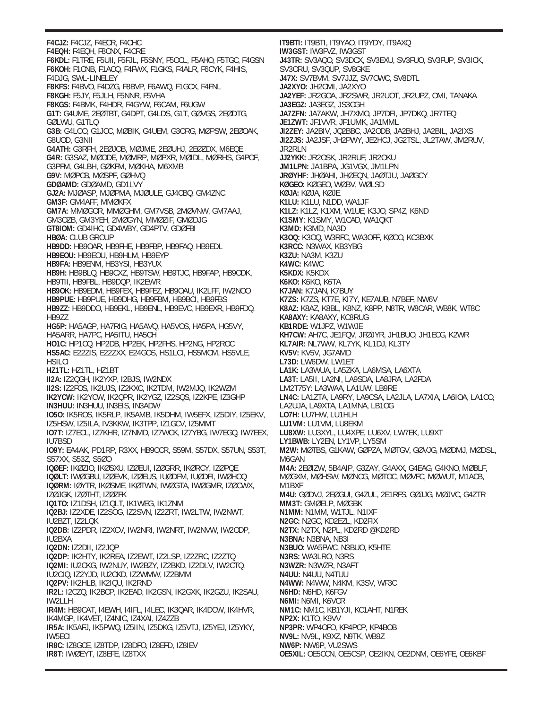**F4CJZ:** F4CJZ, F4ECR, F4CHC **F4EQH:** F4EQH, F8CNX, F4CRE **F6KDL:** F1TRE, F5UII, F5FJL, F5SNY, F5OCL, F5AHO, F5TGC, F4GSN **F6KOH:** F1CNB, F1ACQ, F4FWX, F1GKS, F4ALR, F6CYK, F4HIS, F4DJG, SWL-LINELEY **F8KFS:** F4BVO, F4DZG, F8BVP, F6AWQ, F1GCX, F4FNL **F8KGH:** F5JY, F5JLH, F5NNR, F5VHA **F8KGS:** F4BMK, F4HDR, F4GYW, F6CAM, F6UGW **G1T:** G4UME, 2EØTBT, G4DPT, G4LDS, G1T, GØVGS, 2EØDTG, GØLWU, G1TLQ **G3B:** G4LOO, G1JCC, MØBIK, G4UEM, G3ORG, MØPSW, 2EØOAK, G8UOD, G3NII **G4ATH:** G3RFH, 2EØJOB, MØJME, 2EØUHJ, 2EØZDX, M6EQE **G4R:** G3SAZ, MØODE, MØMRP, MØPXR, MØIDL, MØRHS, G4POF, G3PFM, G4LBH, GØKFM, MØKHA, M6XMB **G9V:** MØPCB, MØSPF, GØHVQ **GDØAMD:** GDØAMD, GD1LVY **GJ2A:** MJØASP, MJØPMA, MJØULE, GJ4CBQ, GM4ZNC **GM3F:** GM4AFF, MMØKFX **GM7A:** MMØGOR, MMØGHM, GM7VSB, 2MØVNW, GM7AAJ, GM3OZB, GM3YEH, 2MØGYN, MMØZIF, GMØDJG **GT8IOM:** GD4IHC, GD4WBY, GD4PTV, GDØFBI **HBØA:** CLUB GROUP **HB9DD:** HB9OAR, HB9FHE, HB9FBP, HB9FAQ, HB9EDL **HB9EOU:** HB9EOU, HB9HLM, HB9EYP **HB9FA:** HB9ENM, HB3YSI, HB3YUX **HB9H:** HB9BLQ, HB9CXZ, HB9TSW, HB9TJC, HB9FAP, HB9ODK, HB9TII, HB9FBL, HB9DQP, IK2EWR **HB9OK:** HB9EDM, HB9FEX, HB9FEZ, HB9OAU, IK2LFF, IW2NOO **HB9PUE:** HB9PUE, HB9DHG, HB9FBM, HB9BCI, HB9FBS **HB9ZZ:** HB9DDO, HB9EKL, HB9ENL, HB9EVC, HB9EXR, HB9FDQ, HB9ZZ **HG5P:** HA5AGP, HA7RIG, HA5AVQ, HA5VOS, HA5PA, HG5VY, HA5ARR, HA7PC, HA5ITU, HA5CH **HO1C:** HP1CQ, HP2DB, HP2EK, HP2FHS, HP2NG, HP2ROC **HS5AC:** E22ZIS, E22ZXX, E24GOS, HS1LCI, HS5MCM, HS5VLE, **HSILCI HZ1TL:** HZ1TL, HZ1BT **II2A:** IZ2QGH, IK2YXP, I2BJS, IW2NDX **II2S:** IZ2FOS, IK2UJS, IZ2KXC, IK2TDM, IW2MJQ, IK2WZM **IK2YCW:** IK2YCW, IK2QPR, IK2YGZ, IZ2SQS, IZ2KPE, IZ3GHP **IN3HUU:** IN3HUU, IN3EIS, IN3ADW **IO5O:** IK5ROS, IK5RLP, IK5AMB, IK5DHM, IW5EFX, IZ5DIY, IZ5EKV, IZ5HSW, IZ5ILA, IV3KKW, IK3TPP, IZ1GCV, IZ5MMT **IO7T:** IZ7ECL, IZ7KHR, IZ7NMD, IZ7WCK, IZ7YBG, IW7EGQ, IW7EEX, IU7BSD **IO9Y:** EA4AK, PD1RP, R3XX, HB9OCR, S59M, S57DX, S57UN, S53T, S57XX, S53Z, S5ØO **IQØEF:** IKØZIO, IKØSXU, IZØEUI, IZØGRR, IKØRCY, IZØPQE **IQØLT:** IWØGBU, IZØEVK, IZØEUS, IUØDFM, IUØDFI, IWØHOQ **IQØRM:** IØYTR, IKØSME, IKØTWN, IWØGTA, IWØGMR, IZØCWX, IZØJGK, IZØTHT, IZØZFK **IQ1TO:** IZ1DSH, IZ1QLT, IK1WEG, IK1ZNM **IQ2BJ:** IZ2XDE, IZ2SOG, IZ2SVN, IZ2ZRT, IW2LTW, IW2NWT, IU2BZT, IZ2LQK **IQ2DB:** IZ2PDR, IZ2XCV, IW2NRI, IW2NRT, IW2NVW, IW2ODP, IU2BXA **IQ2DN:** IZ2DII, IZ2JQP **IQ2DP:** IK2HTY, IK2REA, IZ2EWT, IZ2LSP, IZ2ZRC, IZ2ZTQ **IQ2MI:** IU2CKG, IW2NUY, IW2BZY, IZ2BKD, IZ2DLV, IW2CTQ, IU2CIQ, IZ2YJD, IU2CKD, IZ2WMW, IZ2BMM **IQ2PV:** IK2HLB, IK2IQU, IK2RND **IR2L:** I2CZQ, IK2BCP, IK2EAD, IK2GSN, IK2GXK, IK2GZU, IK2SAU, IW2LLH **IR4M:** HB9CAT, I4EWH, I4IFL, I4LEC, IK3QAR, IK4DCW, IK4HVR, IK4MGP, IK4VET, IZ4NIC, IZ4XAI, IZ4ZZB **IR5A:** IK5AFJ, IK5PWQ, IZ5IIN, IZ5DKG, IZ5VTJ, IZ5YEJ, IZ5YKY, IW5ECI **IR8C:** IZ8GCE, IZ8TDP, IZ8DFO, IZ8EFD, IZ8IEV **IR8T:** IWØEYT, IZ8EFE, IZ8TXX

**IT9BTI:** IT9BTI, IT9YAO, IT9YDY, IT9AXQ **IW3GST:** IW3FVZ, IW3GST **J43TR:** SV3AQO, SV3DCX, SV3EXU, SV3FUO, SV3FUP, SV3ICK, SV3ORU, SV3QUP, SV8GKE **J47X:** SV7BVM, SV7JJZ, SV7OWC, SV8DTL **JA2XYO:** JH2CMI, JA2XYO **JA2YEF:** JR2GOA, JR2SWR, JR2UOT, JR2UPZ, OMI, TANAKA **JA3EGZ:** JA3EGZ, JS3CGH **JA7ZFN:** JA7AKW, JH7XMO, JP7DFI, JP7DKQ, JR7TEQ **JE1ZWT:** JF1VVR, JF1UMK, JA1MML **JI2ZEY:** JA2BIV, JQ2BBC, JA2ODB, JA2BHJ, JA2BIL, JA2IXS **JI2ZJS:** JA2JSF, JH2PWY, JE2HCJ, JG2TSL, JL2TAW, JM2RUV, JR2RLN **JJ2YKK:** JR2OSK, JR2RUF, JR2OKU **JM1LPN:** JA1BPA, JG1VGX, JM1LPN **JRØYHF:** JHØAHI, JHØEQN, JAØTJU, JAØGCY **KØGEO:** KØGEO, WØBV, WØLSD **KØJA:** KØJA, KØJE **K1LU:** K1LU, N1DD, WA1JF **K1LZ:** K1LZ, K1XM, W1UE, K3JO, SP4Z, K6ND **K1SMY**: K1SMY, W1CAD, WA1QKT **K3MD:** K3MD, NA3D **K3OQ:** K3OQ, W3RFC, WA3OFF, KØOO, KC3BXK **K3RCC:** N3WAX, KB3YBG **K3ZU:** NA3M, K3ZU **K4WC:** K4WC **K5KDX:** K5KDX **K6KO:** K6KO, K6TA **K7JAN:** K7JAN, K7BUY **K7ZS:** K7ZS, KT7E, KI7Y, KE7AUB, N7BEF, NW6V **K8AZ:** K8AZ, K8BL, K8NZ, K8PP, N8TR, W8CAR, WB8K, WT8C **KA8AXY:** KA8AXY, KC8RUG **KB1RDE:** W1JPZ, W1WJE **KH7CW:** AH7C, JE1FQV, JFØJYR, JH1BUO, JH1ECG, K2WR **KL7AIR:** NL7WW, KL7YK, KL1DJ, KL3TY **KV5V:** KV5V, JG7AMD **L73D:** LW6DW, LW1ET **LA1K:** LA3WUA, LA5ZKA, LA6MSA, LA6XTA **LA3T:** LA5II, LA2NI, LA9SDA, LA8JRA, LA2FDA LM2T75Y: LA3WAA, LA1UW, LB9RE **LN4C:** LA1ZTA, LA9RY, LA9CSA, LA2JLA, LA7XIA, LA6IOA, LA1CO, LA2UJA, LA9XTA, LA1MNA, LB1OG **LO7H:** LU7HW, LU1HLH **LU1VM:** LU1VM, LU8EKM **LU8XW:** LU3XYL, LU4XPE, LU6XV, LW7EK, LU9XT **LY1BWB:** LY2EN, LY1VP, LY5SM **M2W:** MØTBS, G1KAW, GØPZA, MØTGV, GØVJG, MØDMJ, MØDSL, M6GAN **M4A:** 2EØIZW, 5B4AIP, G3ZAY, G4AXX, G4EAG, G4KNO, MØBLF, MØGXM, MØHSW, MØNCG, MØTOC, MØVFC, MØWUT, M1ACB, M1BXF **M4U:** GØDVJ, 2EØGUI, G4ZUL, 2E1RFS, GØJJG, MØJVC, G4ZTR **MM3T:** GMØELP, MØGBK **N1MM:** N1MM, W1TJL, N1IXF **N2GC:** N2GC, KD2EZL, KD2FIX **N2TX:** N2TX, N2PL, KD2RD @KD2RD **N3BNA:** N3BNA, NB3I **N3BUO:** WA5FWC, N3BUO, K5HTE **N3RS:** WA3LRO, N3RS **N3WZR:** N3WZR, N3AFT **N4UU:** N4UU, N4TUU **N4WW:** N4WW, N4KM, K3SV, WF3C **N6HD:** N6HD, K6FGV **N6MI:** N6MI, K6VCR **NM1C:** NM1C, KB1YJI, KC1AHT, N1REK **NP2X:** K1TO, K9VV **NP3PR:** WP4OFO, KP4PCP, KP4BOB **NV9L:** NV9L, K9XZ, N9TK, WB9Z **NW6P:** NW6P, VU2SWS **OE5XIL:** OE5CCN, OE5CSP, OE2IKN, OE2DNM, OE6YFE, OE6KBF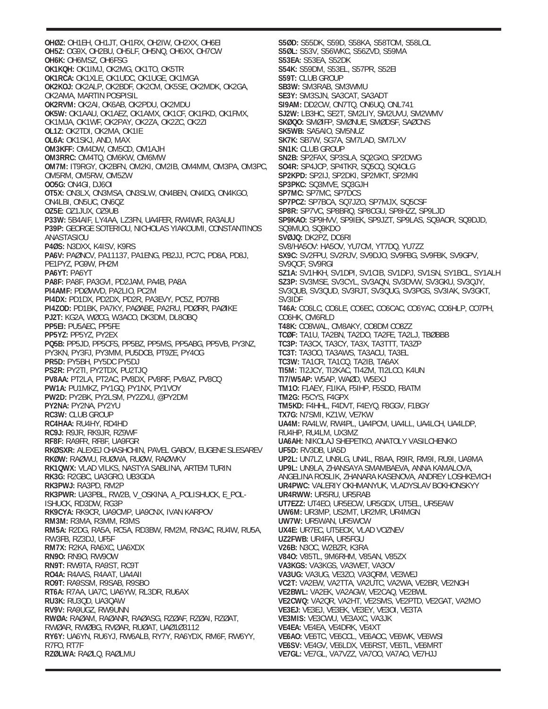**OHØZ:** OH1EH, OH1JT, OH1RX, OH2IW, OH2XX, OH6EI **OH5Z:** OG9X, OH2BU, OH5LF, OH5NQ, OH6XX, OH7CW **OH6K:** OH6MSZ, OH6FSG **OK1KQH:** OK1IMJ, OK2MG, OK1TO, OK5TR **OK1RCA:** OK1XLE, OK1UDC, OK1UGE, OK1MGA **OK2KOJ:** OK2ALP, OK2BDF, OK2CM, OK5SE, OK2MDK, OK2GA, OK2AMA, MARTIN POSPISIL **OK2RVM:** OK2AI, OK6AB, OK2PDU, OK2MDU **OK5W:** OK1AAU, OK1AEZ, OK1AMX, OK1CF, OK1FKD, OK1FMX, OK1MJA, OK1WF, OK2PAY, OK2ZA, OK2ZC, OK2ZI **OL1Z:** OK2TDI, OK2MA, OK1IE **OL6A:** OK1SKJ, AND, MAX **OM3KFF:** OM4DW, OM5CD, OM1AJH **OM3RRC:** OM4TQ, OM6KW, OM6MW **OM7M:** IT9RGY, OK2BFN, OM2KI, OM2IB, OM4MM, OM3PA, OM3PC, OM5RM, OM5RW, OM5ZW **OO5G:** ON4GI, DJ6OI **OT5X:** ON3LX, ON3MSA, ON3SLW, ON4BEN, ON4DG, ON4KGO, ON4LBI, ON5UC, ON6QZ **OZ5E:** OZ1JUX, OZ9UB **P33W:** 5B4AIF, LY4AA, LZ3FN, UA4FER, RW4WR, RA3AUU **P39P:** GEORGE SOTERIOU, NICHOLAS YIAKOUMI, CONSTANTINOS ANASTASIOU **P4ØS:** N3DXX, K4ISV, K9RS **PA6V:** PAØNCV, PA11137, PA1ENG, PB2JJ, PC7C, PD8A, PD8J, PE1PYZ, PG9W, PH2M **PA6YT:** PA6YT **PA8F:** PA8F, PA3GVI, PD2JAM, PA4B, PA8A **PI4AMF:** PDØWVD, PA2LIO, PC2M **PI4DX:** PD1DX, PD2DX, PD2R, PA3EVY, PC5Z, PD7RB **PI4ZOD:** PD1BK, PA7KY, PAØABE, PA2RU, PDØRR, PAØIKE **PJ2T:** KG2A, WØCG, W3ACO, DK3DM, DL8OBQ **PP5EI:** PU5AEC, PP5FE **PP5YZ:** PP5YZ, PY2EX **PQ5B:** PP5JD, PP5CFS, PP5BZ, PP5MS, PP5ABG, PP5VB, PY3NZ, PY3KN, PY3FJ, PY3MM, PU5DCB, PT9ZE, PY4OG **PR5D:** PY5BH, PY5DC PY5DJ **PS2R:** PY2TI, PY2TDX, PU2TJQ **PV8AA:** PT2LA, PT2AC, PV8DX, PV8RF, PV8AZ, PV8CQ **PW1A:** PU1MKZ, PY1GQ, PY1NX, PY1VOY **PW2D:** PY2BK, PY2LSM, PY2ZXU, @PY2DM **PY2NA:** PY2NA, PY2YU **RC3W:** CLUB GROUP **RC4HAA:** RU4HY, RD4HD **RC9J:** R9JR, RK9JR, RZ9WF **RF8F:** RA9FR, RF8F, UA9FGR **RKØSXR:** ALEXEJ CHASHCHIN, PAVEL GABOV, EUGENE SLESAREV **RKØW:** RAØWU, RUØWA, RUØW, RAØWKV **RK1QWX:** VLAD VILKS, NASTYA SABLINA, ARTEM TURIN **RK3G:** R2GBC, UA3GRO, UB3GDA **RK3PWJ:** RA3PD, RM2P **RK3PWR:** UA3PBL, RW2B, V\_OSKINA, A\_POLISHUCK, E\_POL-ISHUCK, RD3DW, RG3P **RK9CYA:** RK9CR, UA9CMP, UA9CNX, IVAN KARPOV **RM3M:** R3MA, R3MM, R3MS **RM5A:** R2DG, RA5A, RC5A, RD3BW, RM2M, RN3AC, RU4W, RU5A, RW3FB, RZ3DJ, UF5F **RM7X:** R2KA, RA6XC, UA6XDX **RN9O:** RN9O, RW9OW **RN9T:** RW9TA, RA9ST, RC9T **RO4A:** R4AAS, R4AAT, UA4AII **RO9T:** RA9SSM, R9SAB, R9SBO **RT6A:** R7AA, UA7C, UA6YW, RL3DR, RU6AX **RU3K:** RU3QD, UA3QAW **RV9V:** RA9UGZ, RW9UNN **RWØA:** RAØAM, RAØANR, RAØASG, RZØAF, RZØAI, RZØAT, RWØAR, RWØBG, RVØAR, RUØAT, UAØ1Ø3112 **RY6Y:** UA6YN, RU6YJ, RW6ALB, RY7Y, RA6YDX, RM6F, RW6YY, R7FO, RT7F **RZØLWA:** RAØLQ, RAØLMU

**S5ØD:** S55DK, S59D, S58KA, S58TOM, S58LOL **S5ØL:** S53V, S56WKC, S56ZVD, S59MA **S53EA:** S53EA, S52DK **S54K:** S59DM, S53EL, S57PR, S52EI **S59T:** CLUB GROUP **SB3W:** SM3RAB, SM3WMU **SE3Y:** SM3SJN, SA3CAT, SA3ADT **SI9AM:** DD2CW, ON7TQ, ON6UQ, ONL741 **SJ2W:** LB3HC, SE2T, SM2LIY, SM2UVU, SM2WMV **SKØQO:** SMØIFP, SMØNUE, SMØDSF, SAØCNS **SK5WB:** SA5AIO, SM5NUZ **SK7K:** SB7W, SG7A, SM7LAD, SM7LXV **SN1K:** CLUB GROUP **SN2B:** SP2FAX, SP3SLA, SQ2GXO, SP2DWG **SO4R:** SP4JCP, SP4TKR, SQ5CQ, SQ4OLG **SP2KPD:** SP2IJ, SP2DKI, SP2MKT, SP2MKI **SP3PKC:** SQ3MVE, SQ3GJH **SP7MC:** SP7MC, SP7DCS **SP7PCZ:** SP7BCA, SQ7JZO, SP7MJX, SQ5CSF **SP8R:** SP7VC, SP8BRQ, SP8CGU, SP8HZZ, SP9LJD **SP9KAO:** SP9HVV, SP9IEK, SP9JZT, SP9LAS, SQ9AOR, SQ9DJD, SQ9MUO, SQ9KDO **SVØJQ:** DK2PZ, DC6RI SV8/HA5OV: HA5OV, YU7CM, YT7DQ, YU7ZZ **SX9C:** SV2FPU, SV2RJV, SV9DJO, SV9FBG, SV9FBK, SV9GPV, SV9QCF, SV9RGI **SZ1A:** SV1HKH, SV1DPI, SV1CIB, SV1DPJ, SV1SN, SY1BCL, SY1ALH **SZ3P:** SV3MSE, SV3CYL, SV3AQN, SV3DVW, SV3GKU, SV3QJY, SV3QUB, SV3QUD, SV3RJT, SV3QUG, SV3PGS, SV3IAK, SV3GKT, SV3IDF **T46A:** CO6LC, CO6LE, CO6EC, CO6CAC, CO6YAC, CO6HLP, CO7PH, CO6HK, CM6RLD **T48K:** CO8WAL, CM8AKY, CO8DM CO8ZZ **TCØF:** TA1U, TA2BN, TA2DO, TA2FE, TA2LJ, TBØBBB **TC3P:** TA3CX, TA3CY, TA3X, TA3TTT, TA3ZP **TC3T:** TA3OO, TA3AWS, TA3ACU, TA3EL **TC3W:** TA1CR, TA1CQ, TA2IB, TA6AX **TI5M:** TI2JCY, TI2KAC, TI4ZM, TI2LCO, K4UN **TI7/W5AP:** W5AP, WAØD, W5EXJ **TM1O:** F1AEY, F1IKA, F5IHP, F5SDD, F8ATM **TM2G:** F5CYS, F4GPX **TM5KD:** F4HHL, F4DVT, F4EYQ, F8GGV, F1BGY **TX7G:** N7SMI, KZ1W, VE7KW **UA4M:** RA4LW, RW4PL, UA4PCM, UA4LL, UA4LCH, UA4LDP, RU4HP, RU4LM, UX3MZ **UA6AH:** NIKOLAJ SHEPETKO, ANATOLY VASILCHENKO **UF5D:** RV3DB, UA5D **UP2L:** UN7LZ, UN9LG, UN4L, R8AA, R9IR, RM9I, RU9I, UA9MA **UP9L:** UN9LA, ZHANSAYA SMAMBAEVA, ANNA KAMALOVA, ANGELINA ROSLIK, ZHANARA KASENOVA, ANDREY LOSHKEVICH **UR4PWC:** VALERIY OKHMANYUK, VLADYSLAV BOKHONSKYY **UR4RWW:** UR5RU, UR5RAB **UT7EZZ:** UT4EO, UR5ECW, UR5GDX, UT5EL, UR5EAW **UW6M:** UR3MP, US2MT, UR2MR, UR4MGN **UW7W:** UR5WAN, UR5WCW **UX4E:** UR7EC, UT5EOX, VLAD VOZNEV **UZ2FWB:** UR4FA, UR5FGU **V26B:** N3OC, W2BZR, K3RA **V84O:** V85TL, 9M6RHM, V85AN, V85ZX **VA3KGS:** VA3KGS, VA3WET, VA3OV **VA3UG:** VA3UG, VE3ZO, VA3QRM, VE3WEJ **VC2T:** VA2EW, VA2TTA, VA2UTC, VA2WA, VE2BR, VE2NGH **VE2BWL:** VA2EK, VA2AGW, VE2CAQ, VE2BWL **VE2CWQ:** VA2QR, VA2HT, VE2SMS, VE2PTD, VE2GAT, VA2MO **VE3EJ:** VE3EJ, VE3EK, VE3EY, VE3OI, VE3TA **VE3MIS:** VE3CWU, VE3AXC, VA3JK **VE4EA:** VE4EA, VE4DRK, VE4XT **VE6AO:** VE6TC, VE6CCL, VE6AOC, VE6WK, VE6WSI **VE6SV:** VE4GV, VE6LDX, VE6RST, VE6TL, VE6MRT **VE7GL:** VE7GL, VA7VZZ, VA7OO, VA7AO, VE7HJJ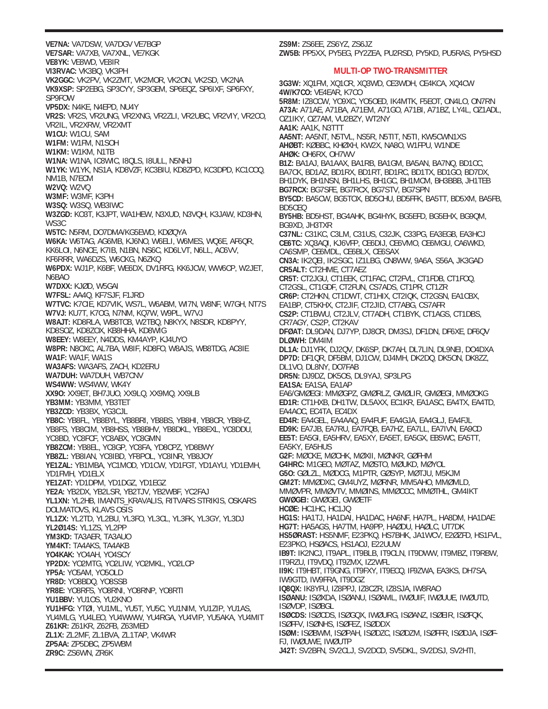**VE7NA:** VA7DSW, VA7DGV VE7BGP **VE7SAR:** VA7XB, VA7XNL, VE7KGK **VE8YK:** VE8WD, VE8IR **VI3RVAC:** VK3BQ, VK3PH **VK2GGC:** VK2PV, VK2ZMT, VK2MOR, VK2ON, VK2SD, VK2NA **VK9XSP:** SP2EBG, SP3CYY, SP3GEM, SP6EQZ, SP6IXF, SP6FXY, SP9FOW **VP5DX:** N4KE, N4EPD, NU4Y **VR2S:** VR2S, VR2UNG, VR2XNG, VR2ZLI, VR2UBC, VR2VIY, VR2CO, VR2IL, VR2XRW, VR2XMT **W1CU:** W1CU, SAM **W1FM:** W1FM, N1SOH **W1KM:** W1KM, N1TB **W1NA:** W1NA, IC8WIC, I8QLS, I8ULL, N5NHJ **W1YK:** W1YK, NS1A, KD8VZF, KC3BIU, KD8ZPD, KC3DPD, KC1COQ, NM1B, N7ECM **W2VQ:** W2VQ **W3MF:** W3MF, K3PH **W3SQ:** W3SQ, WB3IWC **W3ZGD:** KO3T, K3JPT, WA1HEW, N3XUD, N3VQH, K3JAW, KD3HN, WS3C **W5TC:** N5RM, DO7DMA/KG5EWD, KDØQYA **W6KA:** W6TAG, AG6MB, KJ6NO, W6ELI, W6MES, WQ6E, AF6QR, KK6LOI, N6NCE, K7IB, N1BN, NS6C, KD6LVT, N6LL, AC6VV, KF6RRR, WA6DZS, W6CKG, N6ZKQ **W6PDX:** WJ1P, K6BF, WE6DX, DV1RFG, KK6JCW, WW6CP, W2JET, N6BAO **W7DXX:** KJØD, W5GAI **W7FSL:** AA4Q, KF7SJF, F1JRD **W7TVC:** K7CIE, KD7VIK, WS7L, W6ABM, WI7N, W8NF, W7GH, NT7S **W7VJ:** KU7T, K7OG, N7NM, KQ7W, W9PL, W7VJ **W8AJT:** KD8RLA, WB8TCB, W2TBQ, N8KYX, N8SDR, KD8PYY, KD8SOZ, KD8ZOX, KB8HHA, KD8WIG **W8EEY:** W8EEY, N4DDS, KM4AYP, KJ4UYO **W8PR:** N8OXC, AL7BA, W8IF, KD8FO, W8AJS, WB8TDG, AC8IE **WA1F:** WA1F, WA1S **WA3AFS:** WA3AFS, ZACH, KD2ERU **WA7DUH:** WA7DUH, WB7CNV **WS4WW:** WS4WW, WK4Y **XX9O:** XX9ET, BH7JUO, XX9LQ, XX9MQ, XX9LB **YB3MM:** YB3MM, YB3TET **YB3ZCD:** YB3BX, YG3CJL **YB8C:** YB8FL, YB8BYL, YB8BRI, YB8BS, YB8HI, YB8CR, YB8HZ, YB8FS, YB8CIM, YB8HSS, YB8BHV, YB8DKL, YB8EXL, YC8DDU, YC8BD, YC8FCF, YC8ABX, YC8GMN **YB8ZCM:** YB8EL, YC8GP, YC8FA, YD8CPZ, YD8BWY **YB8ZL:** YB8IAN, YC8IBD, YF8POL, YC8INR, YB8JOY **YE1ZAL:** YB1MBA, YC1MOD, YD1CW, YD1FGT, YD1AYU, YD1EMH, YD1FMH, YD1ELX **YE1ZAT:** YD1DPM, YD1DGZ, YD1EGZ **YE2A:** YB2DX, YB2LSR, YB2TJV, YB2WBF, YC2FAJ **YL1XN:** YL2HB, IMANTS\_KRAVALIS, RITVARS STRIKIS, OSKARS DOLMATOVS, KLAVS OSIS **YL1ZX:** YL2TD, YL2BU, YL3FO, YL3CL, YL3FK, YL3GY, YL3DJ **YL2Ø14S:** YL1ZS, YL2PP **YM3KD:** TA3AER, TA3AUO **YM4KT:** TA4AKS, TA4AKB **YO4KAK:** YO4AH, YO4SCY **YP2DX:** YO2MTG, YO2LIW, YO2MKL, YO2LCP **YP5A:** YO5AM, YO5OLD **YR8D:** YO8BDQ, YO8SSB **YR8E:** YO8RFS, YO8RNI, YO8RNP, YO8RTI **YU1BBV:** YU1OS, YU2KNO **YU1HFG:** YTØI, YU1ML, YU5T, YU5C, YU1NIM, YU1ZIP, YU1AS, YU4MLG, YU4LEO, YU4WWW, YU4RGA, YU4VIP, YU5AKA, YU4MIT **Z61KR:** Z61KR, Z62FB, Z63MED **ZL1X:** ZL2MF, ZL1BVA, ZL1TAP, VK4WR **ZP5AA:** ZP5DBC, ZP5WBM **ZR9C:** ZS6WN, ZR6K

**ZW5B:** PP5XX, PY5EG, PY2ZEA, PU2RSD, PY5KD, PU5RAS, PY5HSD **MULTI-OP TWO-TRANSMITTER 3G3W:** XQ1FM, XQ1CR, XQ3WD, CE3WDH, CE4KCA, XQ4CW **4W/K7CO:** VE4EAR, K7CO **5R8M:** IZ8CCW, YO9XC, YO5OED, IK4MTK, F5EOT, ON4LO, ON7RN **A73A:** A71AE, A71BA, A71EM, A71GO, A71BI, A71BZ, LY4L, OZ1ADL, OZ1IKY, OZ7AM, VU2BZY, WT2NY **AA1K:** AA1K, N3TTT **AA5NT:** AA5NT, N5TVL, NS5R, N5TIT, N5TI, KW5CWN1XS **AHØBT:** KØBBC, KHØXH, KW2X, NA8O, W1FPU, W1NDE **AHØK:** OH6RX, OH7WV **B1Z:** BA1AJ, BA1AAX, BA1RB, BA1GM, BA5AN, BA7NQ, BD1CC, BA7CK, BD1AZ, BD1RX, BD1RT, BD1RC, BD1TX, BD1GO, BD7DX, BH1DYK, BH1NSN, BH1LHS, BH1GC, BH1MCM, BH3BBB, JH1TEB **BG7RCX:** BG7SFE, BG7RCX, BG7STV, BG7SPN **BY5CD:** BA5CW, BG5TOX, BD5CHU, BD5FFK, BA5TT, BD5XM, BA5FB, BD5CEQ **BY5HB:** BD5HST, BG4AHK, BG4HYK, BG5EFD, BG5EHX, BG9QM, BG9XD, JH3TXR **C37NL:** C31KC, C3LM, C31US, C32JK, C33PG, EA3EGB, EA3HCJ **CE6TC:** XQ3AQI, KJ6VFP, CE6DIJ, CE6VMO, CE6MGU, CA6WKD, CA6SMP, CE6MDL, CE6BLX, CE6SAX **CN3A:** IK2QEI, IK2SGC, IZ1LBG, CN8WW, 9A6A, S56A, JK3GAD **CR5ALT:** CT2HME, CT7AEZ **CR5T:** CT2JGU, CT1EEK, CT1FAC, CT2FVL, CT1FDB, CT1FOQ, CT2GSL, CT1GDF, CT2FUN, CS7ADS, CT1PR, CT1ZR **CR6P:** CT2HKN, CT1DWT, CT1HIX, CT2IQK, CT2GSN, EA1CBX, EA1BP, CT5KHX, CT2JIF, CT2JID, CT7ABG, CS7AFR **CS2P:** CT1BWU, CT2JLV, CT7ADH, CT1BYK, CT1AGS, CT1DBS, CR7AGY, CS2P, CT2KAV **DFØAT:** DL9DAN, DJ7YP, DJ8CR, DM3SJ, DF1DN, DF6XE, DF6QV **DLØWH:** DM4IM **DL1A:** DJ1YFK, DJ2QV, DK6SP, DK7AH, DL7LIN, DL9NEI, DO4DXA **DP7D:** DF1QR, DF5BM, DJ1CW, DJ4MH, DK2DQ, DK5ON, DK8ZZ, DL1VO, DL8NY, DO7FAB **DR5N:** DJ9DZ, DK5OS, DL9YAJ, SP3LPG **EA1SA:** EA1SA, EA1AP EA6/GMØEGI: MMØGPZ, GMØRLZ, GMØLIR, GMØEGI, MMØOKG **ED1R:** CT1HXB, DH1TW, DL5AXX, EC1KR, EA1ASC, EA4TX, EA4TD, EA4AOC, EC4TA, EC4DX **ED4R:** EA4GEL, EA4AAQ, EA4FUF, EA4GJA, EA4GLJ, EA4FJL **ED9K:** EA7JB, EA7RU, EA7FQB, EA7HZ, EA7LL, EA7IVN, EA9CD **EE5T:** EA5GI, EA5HRV, EA5XY, EA5ET, EA5GX, EB5WC, EA5TT, EA5KY, EA5HUS **G2F:** MØCKE, MØCHK, MØXII, MØNKR, GØFHM **G4HRC:** M1GEO, MØTAZ, MØSTO, MØUKD, MØYOL **G5O:** GØLZL, MØDCG, M1PTR, GØSYP, MØTJU, M5KJM **GM2T:** MMØDXC, GM4UYZ, MØRNR, MM5AHO, MMØMLD, MMØVPR, MMØVTV, MMØINS, MMØCCC, MMØTHL, GM4IKT **GWØGEI:** GWØGEI, GWØETF **HCØE:** HC1HC, HC1JQ **HG1S:** HA1TJ, HA1DAI, HA1DAC, HA6NF, HA7PL, HA8DM, HA1DAE **HG7T:** HA5AGS, HA7TM, HA9PP, HAØDU, HAØLC, UT7DK **HS5ØRAST:** HS5NMF, E23PKQ, HS7BHK, JA1WCV, E2ØZFD, HS1FVL, E23PKO, HSØACS, HS1AOJ, E22UUW **IB9T:** IK2NCJ, IT9APL, IT9BLB, IT9CLN, IT9DWW, IT9MBZ, IT9RBW, IT9RZU, IT9VDQ, IT9ZMX, IZ2WFL **II9K:** IT9HBT, IT9GNG, IT9FXY, IT9ECQ, IF9ZWA, EA3KS, DH7SA, IW9GTD, IW9FRA, IT9DGZ **IQ8QX:** IK8YFU, IZ8PPJ, IZ8CZR, IZ8SJA, IW8RAO **ISØANU:** ISØXDA, ISØANU, ISØAML, IWØUIF, IWØUUE, IWØUTD, ISØVDP, ISØBGL **ISØCDS:** ISØCDS, ISØGQX, IWØURG, ISØANZ, ISØEIR, ISØFQK, ISØFFV, ISØNHS, ISØFEZ, ISØDDX **ISØM:** ISØBWM, ISØPAH, ISØDZC, ISØDZM, ISØFFR, ISØDJA, ISØF-FJ, IWØUWE, IWØUTP **J42T:** SV2BFN, SV2CLJ, SV2DCD, SV5DKL, SV2DSJ, SV2HTI,

**ZS9M:** ZS6EE, ZS6YZ, ZS6JZ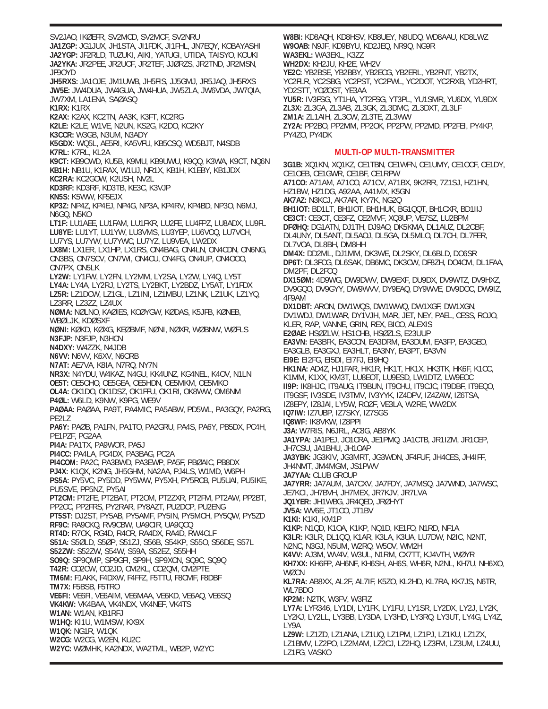SV2JAO, IKØEFR, SV2MCD, SV2MCF, SV2NRU **JA1ZGP:** JG1JUX, JH1STA, JI1FDK, JI1FHL, JN7EQY, KOBAYASHI **JA2YGP:** JF2RLD, TUZUKI, AIKI, YATUGI, UTIDA, TAISYO, KOUKI **JA2YKA:** JR2PEE, JR2UOF, JR2TEF, JJØRZS, JR2TND, JR2MSN, JF9OYD **JH5RXS:** JA1OJE, JM1UWB, JH5FIS, JJ5GMJ, JR5JAQ, JH5RXS **JW5E:** JW4DUA, JW4GUA, JW4HUA, JW5ZLA, JW6VDA, JW7QIA, JW7XM, LA1ENA, SAØASQ **K1RX:** K1RX **K2AX:** K2AX, KC2TN, AA3K, K3FT, KC2RG **K2LE:** K2LE, W1VE, N2UN, KS2G, K2DO, KC2KY **K3CCR:** W3GB, N3UM, N3ADY **K5GDX:** WQ5L, AE5RI, KA5VFU, KB5CSQ, WD5BJT, N4SDB **K7RL:** K7RL, KL2A **K9CT:** KB9OWD, KU5B, K9MU, KB9UWU, K9QQ, K3WA, K9CT, NQ6N **KB1H:** NB1U, K1RAX, W1UJ, NR1X, KB1H, K1EBY, KB1JDX **KC2RA:** KC2GOW, K2USH, NV2L **KD3RF:** KD3RF, KD3TB, KE3C, K3VJP **KN5S:** K5WW, KF5EJX **KP3Z:** NP4Z, KP4EJ, NP4G, NP3A, KP4RV, KP4BD, NP3O, N6MJ, N6GQ, N5KO **LT1F:** LU1AEE, LU1FAM, LU1FKR, LU2FE, LU4FPZ, LU8ADX, LU9FL **LU8YE:** LU1YT, LU1YW, LU3VMS, LU3YEP, LU6VOQ, LU7VCH, LU7YS, LU7YW, LU7YWC, LU7YZ, LU9VEA, LW2DX **LX8M:** LX1ER, LX1HP, LX1RS, ON4BAG, ON4LN, ON4CDN, ON6NG, ON3BS, ON7SCV, ON7WI, ON4CU, ON4FG, ON4UP, ON4OOO, ON7PX, ON5LK **LY2W:** LY1FW, LY2FN, LY2MM, LY2SA, LY2W, LY4Q, LY5T **LY4A:** LY4A, LY2RJ, LY2TS, LY2BKT, LY2BDZ, LY5AT, LY1FDX **LZ5R:** LZ1DCW, LZ1GL, LZ1INI, LZ1MBU, LZ1NK, LZ1UK, LZ1YQ, LZ3RR, LZ3ZZ, LZ4UX **NØMA:** NØLNO, KAØIES, KCØYGW, KØDAS, K5JFB, KØNEB, WBØLJK, KDØSXF **NØNI:** KØKD, KØXG, KEØBMF, NØNI, NØXR, WØBNW, WØFLS **N3FJP:** N3FJP, N3HCN **N4DXY:** W4ZZK, N4JDB **N6VV:** N6VV, K6XV, N6ORB **N7AT:** AE7VA, K8IA, N7RQ, NY7N **NR3X:** N4YDU, W4KAZ, N4GU, KK4UNZ, KG4NEL, K4OV, N1LN **OE5T:** OE5OHO, OE5GEA, OE5HDN, OE5MKM, OE5MKO **OL4A:** OK1DO, OK1DSZ, OK1FFU, OK1RI, OK8WW, OM6NM **P4ØL:** W6LD, K9NW, K9PG, WE9V **PAØAA:** PAØAA, PA9T, PA4MIC, PA5ABW, PD5WL, PA3GQY, PA2RG, PE2LZ **PA6Y:** PAØB, PA1FN, PA1TO, PA2GRU, PA4S, PA6Y, PB5DX, PC4H, PE1PZF, PG2AA **PI4A:** PA1TX, PA9WOR, PA5J **PI4CC:** PA4LA, PG4DX, PA3BAG, PC2A **PI4COM:** PA2C, PA3BWD, PA3EWP, PA5F, PBØAIC, PB8DX **PJ4X:** K1QX, K2NG, JH5GHM, NA2AA, PJ4LS, W1MD, W6PH **PS5A:** PY5VC, PY5DD, PY5WW, PY5XH, PY5RCB, PU5UAI, PU5IKE, PU5SVE, PP5NZ, PY5AI **PT2CM:** PT2FE, PT2BAT, PT2OM, PT2ZXR, PT2FM, PT2AW, PP2BT, PP2CC, PP2FRS, PY2RAR, PY8AZT, PU2DCP, PU2ENG **PT5ST:** DJ2ST, PY5AB, PY5AMF, PY5IN, PY5MCH, PY5QW, PY5ZD **RF9C:** RA9CKQ, RV9CBW, UA9CIR, UA9QCQ **RT4D:** R7CK, RG4D, R4CR, RA4DX, RA4D, RW4CLF **S51A:** S5ØLD, S5ØP, S51ZJ, S56B, S54KP, S55O, S56DE, S57L **S52ZW:** S52ZW, S54W, S59A, S52EZ, S55HH **SO9Q:** SP9QMP, SP9GFI, SP9H, SP9XCN, SQ9C, SQ9Q **T42R:** CO2CW, CO2JD, CM2KL, CO2QM, CM2PTE **TM6M:** F1AKK, F4DXW, F4FFZ, F5TTU, F8CMF, F8DBF **TM7X:** F5BSB, F5TRO **VE6FI:** VE6FI, VE6AIM, VE6MAA, VE6KD, VE6AQ, VE6SQ **VK4KW:** VK4BAA, VK4NDX, VK4NEF, VK4TS **W1AN:** W1AN, KB1RFJ **W1HQ:** KI1U, W1MSW, KX9X **W1QK:** NG1R, W1QK **W2CG:** W2CG, W2EN, KU2C **W2YC:** WØMHK, KA2NDX, WA2TML, WB2P, W2YC

**W8BI:** KD8AQH, KD8HSV, KB8UEY, N8UDQ, WD8AAU, KD8LWZ **W9OAB:** N9JF, KD9BYU, KD2JEQ, NR9Q, NG9R **WA3EKL:** WA3EKL, K3ZZ **WH2DX:** KH2JU, KH2E, WH2V **YE2C:** YB2BSE, YB2BBY, YB2ECG, YB2ERL, YB2FNT, YB2TX, YC2FLR, YC2SBG, YC2PST, YC2PWL, YC2DOT, YC2RXB, YD2HRT, YD2STT, YCØOST, YE3AA **YU5R:** IV3FSG, YT1HA, YT2FSG, YT3PL, YU1SMR, YU6DX, YU9DX **ZL3X:** ZL3GA, ZL3AB, ZL3GK, ZL3DMC, ZL3DXT, ZL3LF **ZM1A:** ZL1AIH, ZL3CW, ZL3TE, ZL3WW **ZY2A:** PP2BO, PP2MM, PP2OK, PP2PW, PP2MD, PP2FEI, PY4KP, PY4ZO, PY4DK **MULTI-OP MULTI-TRANSMITTER 3G1B:** XQ1KN, XQ1KZ, CE1TBN, CE1WFN, CE1UMY, CE1OCF, CE1DY, CE1OEB, CE1GWR, CE1BF, CE1RPW **A71CO:** A71AM, A71CO, A71CV, A71BX, 9K2RR, 7Z1SJ, HZ1HN, HZ1BW, HZ1DG, A92AA, A41MX, K5GN **AK7AZ:** N3KCJ, AK7AR, KY7K, NG2Q **BH1IOT:** BD1LT, BH1IOT, BH1HUK, BG1QQT, BH1CXR, BD1IIJ **CE3CT:** CE3CT, CE3FZ, CE2MVF, XQ3UP, VE7SZ, LU2BPM **DFØHQ:** DG1ATN, DJ1TH, DJ9AO, DK5KMA, DL1AUZ, DL2OBF, DL4UNY, DL5ANT, DL5AOJ, DL5GA, DL5MLO, DL7CH, DL7FER, DL7VOA, DL8BH, DM8HH **DM4X:** DD2ML, DJ1MM, DK3WE, DL2SKY, DL6BLD, DO6SR **DP6T:** DL3FCG, DL6SAK, DB6MC, DK3CW, DF8ZH, DO4CM, DL1FAA, DM2PF, DL2FCQ **DX15ØM:** 4D9WG, DW9DWV, DW9EXF, DU9DX, DV9WTZ, DV9HXZ, DV9GQO, DV9GYY, DW9WVV, DY9EAQ, DY9WVE, DV9DOC, DW9IZ, 4F9AM **DX1DBT:** ARON, DW1WQS, DW1WWQ, DW1XGF, DW1XGN, DV1WDJ, DW1WAR, DY1VJH, MAR, JET, NEY, PAEL, CESS, ROJO, KLER, RAP, VANNE, GRIN, REX, BICO, ALEXIS **E2ØAE:** HSØZLW, HS1CHB, HSØZLS, E23UUP **EA3VN:** EA3BFK, EA3CCN, EA3DRM, EA3DUM, EA3FP, EA3GEO, EA3GLB, EA3GXJ, EA3HLT, EA3NY, EA3PT, EA3VN **EI9E:** EI2FG, EI5DI, EI7FJ, EI9HQ **HK1NA:** AD4Z, HJ1FAR, HK1R, HK1T, HK1X, HK3TK, HK6F, K1CC, K1MM, K1XX, KM3T, LU8EOT, LU9ESD, LW1DTZ, LW9EOC **II9P:** IK8HJC, IT9AUG, IT9BUN, IT9CHU, IT9CJC, IT9DBF, IT9EQO, IT9GSF, IV3SDE, IV3TMV, IV3YYK, IZ4DPV, IZ4ZAW, IZ6TSA, IZ8EPY, IZ8JAI, LY5W, RCØF, VE3LA, W2RE, WW2DX **IQ7IW:** IZ7UBP, IZ7SKY, IZ7SGS **IQ8WF:** IK8VKW, IZ8PPI **J3A:** W7RIS, N6JRL, AC8G, AB8YK **JA1YPA:** JA1PEJ, JO1CRA, JE1PMQ, JA1CTB, JR1IZM, JR1CEP, JH7CSU, JA1BHU, JH1OAP **JA3YBK:** JG3KIV, JG3MRT, JG3WDN, JF4FUF, JH4CES, JH4IFF, JH4NMT, JM4MGM, JS1PWV **JA7YAA:** CLUB GROUP **JA7YRR:** JA7AUM, JA7CXV, JA7FDY, JA7MSQ, JA7WND, JA7WSC, JE7KCI, JH7BVH, JH7MEX, JR7KJV, JR7LVA **JQ1YER:** JH1WBG, JR4QED, JRØHYT **JV5A:** WV6E, JT1CO, JT1BV **K1KI:** K1KI, KM1P **K1KP:** N1QD, K1OA, K1KP, NQ1D, KE1FO, N1RD, NF1A **K3LR:** K3LR, DL1QQ, K1AR, K3LA, K3UA, LU7DW, N2IC, N2NT, N2NC, N3GJ, N5UM, W2RQ, W5OV, WM2H

**K4VV:** AJ3M, WV4V, W3UL, N1RM, CX7TT, KJ4VTH, WØYR **KH7XX:** KH6FP, AH6NF, KH6SH, AH6S, WH6R, N2NL, KH7U, NH6XO,

**KL7RA:** AB8XX, AL2F, AL7IF, K5ZO, KL2HD, KL7RA, KK7JS, N6TR,

**LY7A:** LYR346, LY1DI, LY1FK, LY1FU, LY1SR, LY2DX, LY2J, LY2K, LY2KJ, LY2LL, LY3BB, LY3DA, LY3HD, LY3RQ, LY3UT, LY4G, LY4Z,

**LZ9W:** LZ1ZD, LZ1ANA, LZ1UQ, LZ1PM, LZ1PJ, LZ1KU, LZ1ZX, LZ1BMV, LZ2PO, LZ2MAM, LZ2CJ, LZ2HQ, LZ3FM, LZ3UM, LZ4UU,

WØCN

LY9A

LZ1FG, VASKO

WL7BDO

**KP2M:** N2TK, W3FV, W3FIZ